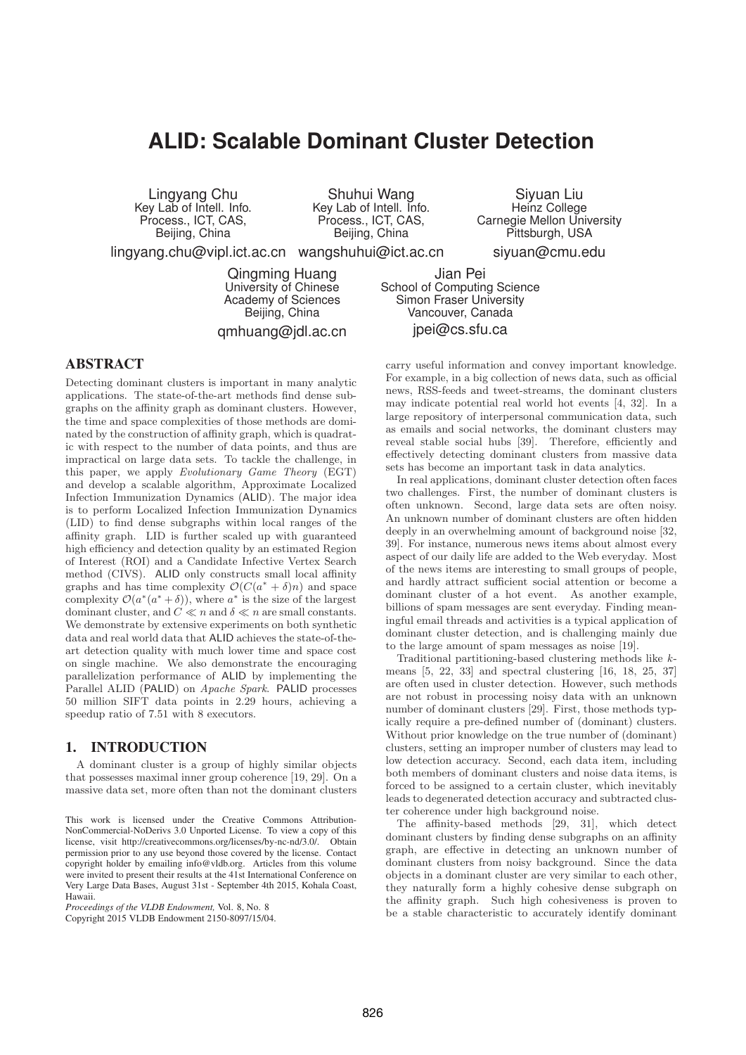# **ALID: Scalable Dominant Cluster Detection**

Lingyang Chu Key Lab of Intell. Info. Process., ICT, CAS, Beijing, China

Shuhui Wang Key Lab of Intell. Info. Process., ICT, CAS, Beijing, China

Siyuan Liu Heinz College Carnegie Mellon University Pittsburgh, USA

siyuan@cmu.edu

Jian Pei School of Computing Science Simon Fraser University Vancouver, Canada jpei@cs.sfu.ca

lingyang.chu@vipl.ict.ac.cn wangshuhui@ict.ac.cn

Qingming Huang University of Chinese Academy of Sciences Beijing, China

qmhuang@jdl.ac.cn

# ABSTRACT

Detecting dominant clusters is important in many analytic applications. The state-of-the-art methods find dense subgraphs on the affinity graph as dominant clusters. However, the time and space complexities of those methods are dominated by the construction of affinity graph, which is quadratic with respect to the number of data points, and thus are impractical on large data sets. To tackle the challenge, in this paper, we apply Evolutionary Game Theory (EGT) and develop a scalable algorithm, Approximate Localized Infection Immunization Dynamics (ALID). The major idea is to perform Localized Infection Immunization Dynamics (LID) to find dense subgraphs within local ranges of the affinity graph. LID is further scaled up with guaranteed high efficiency and detection quality by an estimated Region of Interest (ROI) and a Candidate Infective Vertex Search method (CIVS). ALID only constructs small local affinity graphs and has time complexity  $\mathcal{O}(C(a^* + \delta)n)$  and space complexity  $\mathcal{O}(a^*(a^* + \delta))$ , where  $a^*$  is the size of the largest dominant cluster, and  $C \ll n$  and  $\delta \ll n$  are small constants. We demonstrate by extensive experiments on both synthetic data and real world data that ALID achieves the state-of-theart detection quality with much lower time and space cost on single machine. We also demonstrate the encouraging parallelization performance of ALID by implementing the Parallel ALID (PALID) on Apache Spark. PALID processes 50 million SIFT data points in 2.29 hours, achieving a speedup ratio of 7.51 with 8 executors.

# 1. INTRODUCTION

A dominant cluster is a group of highly similar objects that possesses maximal inner group coherence [19, 29]. On a massive data set, more often than not the dominant clusters

*Proceedings of the VLDB Endowment,* Vol. 8, No. 8

Copyright 2015 VLDB Endowment 2150-8097/15/04.

carry useful information and convey important knowledge. For example, in a big collection of news data, such as official news, RSS-feeds and tweet-streams, the dominant clusters may indicate potential real world hot events [4, 32]. In a large repository of interpersonal communication data, such as emails and social networks, the dominant clusters may reveal stable social hubs [39]. Therefore, efficiently and effectively detecting dominant clusters from massive data sets has become an important task in data analytics.

In real applications, dominant cluster detection often faces two challenges. First, the number of dominant clusters is often unknown. Second, large data sets are often noisy. An unknown number of dominant clusters are often hidden deeply in an overwhelming amount of background noise [32, 39]. For instance, numerous news items about almost every aspect of our daily life are added to the Web everyday. Most of the news items are interesting to small groups of people, and hardly attract sufficient social attention or become a dominant cluster of a hot event. As another example, billions of spam messages are sent everyday. Finding meaningful email threads and activities is a typical application of dominant cluster detection, and is challenging mainly due to the large amount of spam messages as noise [19].

Traditional partitioning-based clustering methods like kmeans [5, 22, 33] and spectral clustering [16, 18, 25, 37] are often used in cluster detection. However, such methods are not robust in processing noisy data with an unknown number of dominant clusters [29]. First, those methods typically require a pre-defined number of (dominant) clusters. Without prior knowledge on the true number of (dominant) clusters, setting an improper number of clusters may lead to low detection accuracy. Second, each data item, including both members of dominant clusters and noise data items, is forced to be assigned to a certain cluster, which inevitably leads to degenerated detection accuracy and subtracted cluster coherence under high background noise.

The affinity-based methods [29, 31], which detect dominant clusters by finding dense subgraphs on an affinity graph, are effective in detecting an unknown number of dominant clusters from noisy background. Since the data objects in a dominant cluster are very similar to each other, they naturally form a highly cohesive dense subgraph on the affinity graph. Such high cohesiveness is proven to be a stable characteristic to accurately identify dominant

This work is licensed under the Creative Commons Attribution-NonCommercial-NoDerivs 3.0 Unported License. To view a copy of this license, visit http://creativecommons.org/licenses/by-nc-nd/3.0/. Obtain permission prior to any use beyond those covered by the license. Contact copyright holder by emailing info@vldb.org. Articles from this volume were invited to present their results at the 41st International Conference on Very Large Data Bases, August 31st - September 4th 2015, Kohala Coast, Hawaii.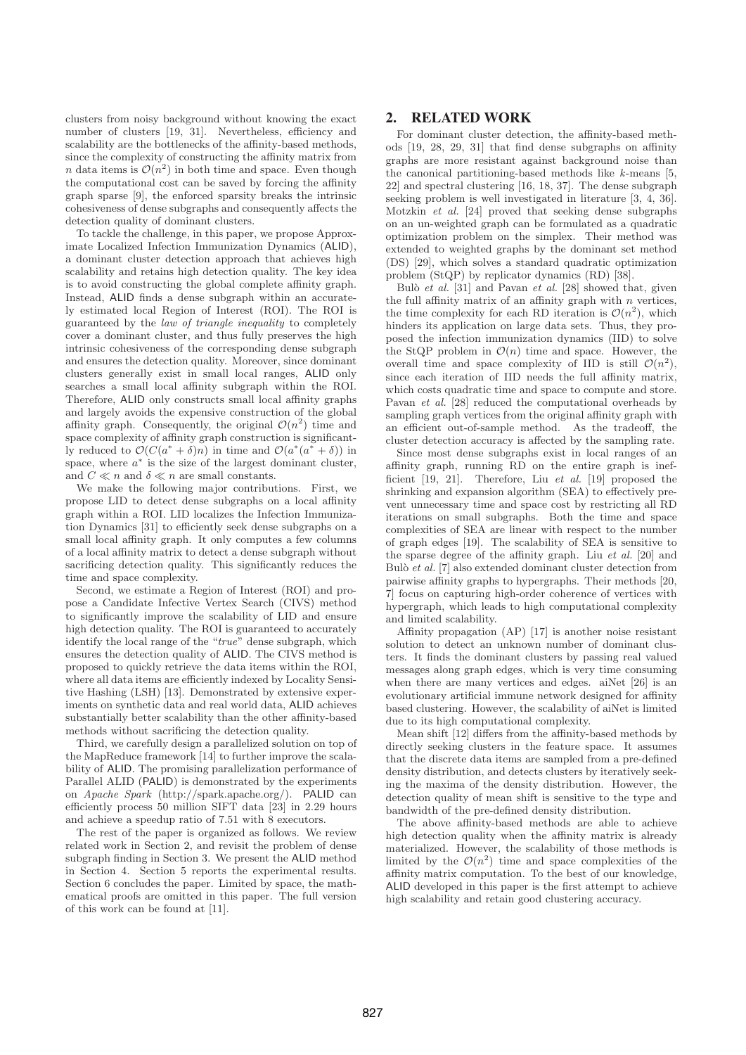clusters from noisy background without knowing the exact number of clusters [19, 31]. Nevertheless, efficiency and scalability are the bottlenecks of the affinity-based methods, since the complexity of constructing the affinity matrix from n data items is  $\mathcal{O}(n^2)$  in both time and space. Even though the computational cost can be saved by forcing the affinity graph sparse [9], the enforced sparsity breaks the intrinsic cohesiveness of dense subgraphs and consequently affects the detection quality of dominant clusters.

To tackle the challenge, in this paper, we propose Approximate Localized Infection Immunization Dynamics (ALID), a dominant cluster detection approach that achieves high scalability and retains high detection quality. The key idea is to avoid constructing the global complete affinity graph. Instead, ALID finds a dense subgraph within an accurately estimated local Region of Interest (ROI). The ROI is guaranteed by the law of triangle inequality to completely cover a dominant cluster, and thus fully preserves the high intrinsic cohesiveness of the corresponding dense subgraph and ensures the detection quality. Moreover, since dominant clusters generally exist in small local ranges, ALID only searches a small local affinity subgraph within the ROI. Therefore, ALID only constructs small local affinity graphs and largely avoids the expensive construction of the global affinity graph. Consequently, the original  $\mathcal{O}(n^2)$  time and space complexity of affinity graph construction is significantly reduced to  $\mathcal{O}(C(a^* + \delta)n)$  in time and  $\mathcal{O}(a^*(a^* + \delta))$  in space, where  $a^*$  is the size of the largest dominant cluster, and  $C \ll n$  and  $\delta \ll n$  are small constants.

We make the following major contributions. First, we propose LID to detect dense subgraphs on a local affinity graph within a ROI. LID localizes the Infection Immunization Dynamics [31] to efficiently seek dense subgraphs on a small local affinity graph. It only computes a few columns of a local affinity matrix to detect a dense subgraph without sacrificing detection quality. This significantly reduces the time and space complexity.

Second, we estimate a Region of Interest (ROI) and propose a Candidate Infective Vertex Search (CIVS) method to significantly improve the scalability of LID and ensure high detection quality. The ROI is guaranteed to accurately identify the local range of the "true" dense subgraph, which ensures the detection quality of ALID. The CIVS method is proposed to quickly retrieve the data items within the ROI, where all data items are efficiently indexed by Locality Sensitive Hashing (LSH) [13]. Demonstrated by extensive experiments on synthetic data and real world data, ALID achieves substantially better scalability than the other affinity-based methods without sacrificing the detection quality.

Third, we carefully design a parallelized solution on top of the MapReduce framework [14] to further improve the scalability of ALID. The promising parallelization performance of Parallel ALID (PALID) is demonstrated by the experiments on Apache Spark (http://spark.apache.org/). PALID can efficiently process 50 million SIFT data [23] in 2.29 hours and achieve a speedup ratio of 7.51 with 8 executors.

The rest of the paper is organized as follows. We review related work in Section 2, and revisit the problem of dense subgraph finding in Section 3. We present the ALID method in Section 4. Section 5 reports the experimental results. Section 6 concludes the paper. Limited by space, the mathematical proofs are omitted in this paper. The full version of this work can be found at [11].

# 2. RELATED WORK

For dominant cluster detection, the affinity-based methods [19, 28, 29, 31] that find dense subgraphs on affinity graphs are more resistant against background noise than the canonical partitioning-based methods like  $k$ -means [5, 22] and spectral clustering [16, 18, 37]. The dense subgraph seeking problem is well investigated in literature [3, 4, 36]. Motzkin et al. [24] proved that seeking dense subgraphs on an un-weighted graph can be formulated as a quadratic optimization problem on the simplex. Their method was extended to weighted graphs by the dominant set method (DS) [29], which solves a standard quadratic optimization problem (StQP) by replicator dynamics (RD) [38].

Bulò et al.  $[31]$  and Pavan et al.  $[28]$  showed that, given the full affinity matrix of an affinity graph with  $n$  vertices, the time complexity for each RD iteration is  $\mathcal{O}(n^2)$ , which hinders its application on large data sets. Thus, they proposed the infection immunization dynamics (IID) to solve the StQP problem in  $\mathcal{O}(n)$  time and space. However, the overall time and space complexity of IID is still  $\mathcal{O}(n^2)$ , since each iteration of IID needs the full affinity matrix, which costs quadratic time and space to compute and store. Pavan et al. [28] reduced the computational overheads by sampling graph vertices from the original affinity graph with an efficient out-of-sample method. As the tradeoff, the cluster detection accuracy is affected by the sampling rate.

Since most dense subgraphs exist in local ranges of an affinity graph, running RD on the entire graph is inefficient [19, 21]. Therefore, Liu et al. [19] proposed the shrinking and expansion algorithm (SEA) to effectively prevent unnecessary time and space cost by restricting all RD iterations on small subgraphs. Both the time and space complexities of SEA are linear with respect to the number of graph edges [19]. The scalability of SEA is sensitive to the sparse degree of the affinity graph. Liu et al. [20] and Bulò  $et$  al. [7] also extended dominant cluster detection from pairwise affinity graphs to hypergraphs. Their methods [20, 7] focus on capturing high-order coherence of vertices with hypergraph, which leads to high computational complexity and limited scalability.

Affinity propagation (AP) [17] is another noise resistant solution to detect an unknown number of dominant clusters. It finds the dominant clusters by passing real valued messages along graph edges, which is very time consuming when there are many vertices and edges. aiNet [26] is an evolutionary artificial immune network designed for affinity based clustering. However, the scalability of aiNet is limited due to its high computational complexity.

Mean shift [12] differs from the affinity-based methods by directly seeking clusters in the feature space. It assumes that the discrete data items are sampled from a pre-defined density distribution, and detects clusters by iteratively seeking the maxima of the density distribution. However, the detection quality of mean shift is sensitive to the type and bandwidth of the pre-defined density distribution.

The above affinity-based methods are able to achieve high detection quality when the affinity matrix is already materialized. However, the scalability of those methods is limited by the  $\mathcal{O}(n^2)$  time and space complexities of the affinity matrix computation. To the best of our knowledge, ALID developed in this paper is the first attempt to achieve high scalability and retain good clustering accuracy.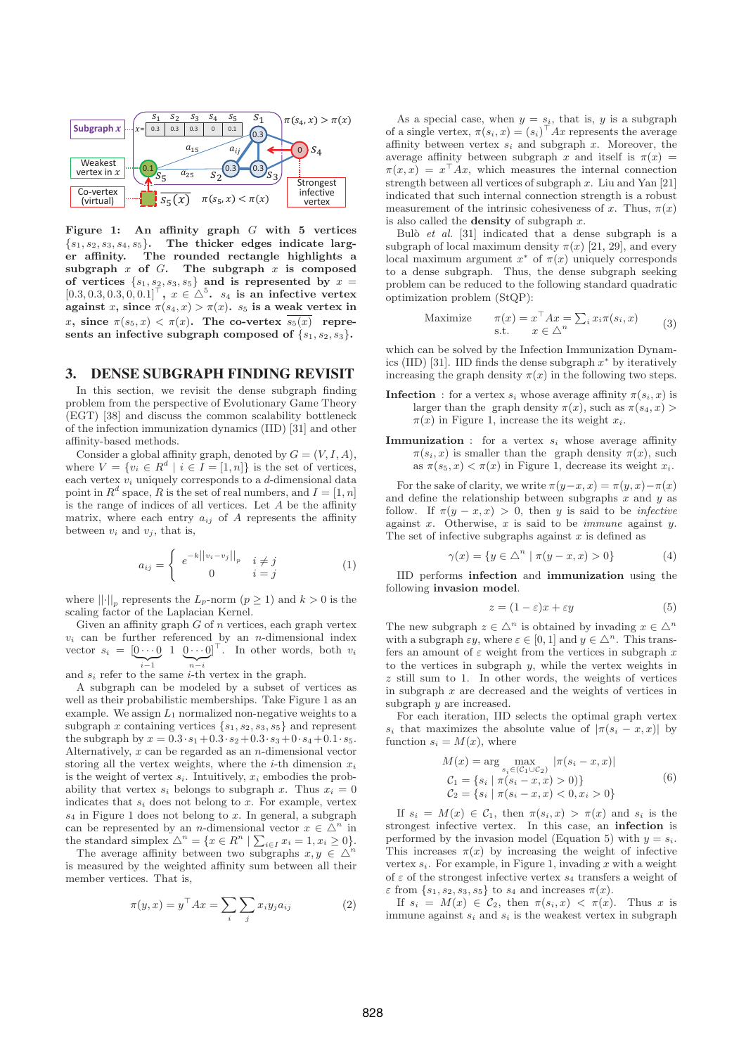

**Figure 1: An affinity graph** G **with 5 vertices** {s1, s2, s3, s4, s5}**. The thicker edges indicate larg-**The rounded rectangle highlights a **subgraph** x **of** G**. The subgraph** x **is composed** of vertices  $\{s_1, s_2, s_3, s_5\}$  and is represented by  $x =$  $[0.3, 0.3, 0.3, 0.0, 0.1]^\top$ ,  $x \in \Delta^5$ .  $s_4$  is an infective vertex **against** x, since  $\pi(s_4, x) > \pi(x)$ .  $s_5$  is a weak vertex in x, since  $\pi(s_5, x) < \pi(x)$ . The co-vertex  $\overline{s_5(x)}$  represents an infective subgraph composed of  $\{s_1, s_2, s_3\}$ .

# 3. DENSE SUBGRAPH FINDING REVISIT

In this section, we revisit the dense subgraph finding problem from the perspective of Evolutionary Game Theory (EGT) [38] and discuss the common scalability bottleneck of the infection immunization dynamics (IID) [31] and other affinity-based methods.

Consider a global affinity graph, denoted by  $G = (V, I, A)$ , where  $V = \{v_i \in R^d \mid i \in I = [1, n]\}\$ is the set of vertices, each vertex  $v_i$  uniquely corresponds to a  $d$ -dimensional data point in  $R^d$  space, R is the set of real numbers, and  $I = [1, n]$ is the range of indices of all vertices. Let  $A$  be the affinity matrix, where each entry  $a_{ij}$  of A represents the affinity between  $v_i$  and  $v_j$ , that is,

$$
a_{ij} = \begin{cases} e^{-k||v_i - v_j||_p} & i \neq j \\ 0 & i = j \end{cases}
$$
 (1)

where  $||\cdot||_p$  represents the  $L_p$ -norm  $(p \ge 1)$  and  $k > 0$  is the scaling factor of the Laplacian Kernel.

Given an affinity graph  $G$  of  $n$  vertices, each graph vertex  $v_i$  can be further referenced by an *n*-dimensional index vector  $s_i = \left[\underbrace{0 \cdots 0}_{i-1} \quad 1 \quad \underbrace{0 \cdots 0}_{n-i}\right]^\top$ . In other words, both  $v_i$ and  $s_i$  refer to the same *i*-th vertex in the graph.

A subgraph can be modeled by a subset of vertices as well as their probabilistic memberships. Take Figure 1 as an example. We assign  $L_1$  normalized non-negative weights to a subgraph x containing vertices  $\{s_1, s_2, s_3, s_5\}$  and represent the subgraph by  $x = 0.3 \cdot s_1 + 0.3 \cdot s_2 + 0.3 \cdot s_3 + 0 \cdot s_4 + 0.1 \cdot s_5$ . Alternatively,  $x$  can be regarded as an  $n$ -dimensional vector storing all the vertex weights, where the *i*-th dimension  $x_i$ is the weight of vertex  $s_i$ . Intuitively,  $x_i$  embodies the probability that vertex  $s_i$  belongs to subgraph x. Thus  $x_i = 0$ indicates that  $s_i$  does not belong to x. For example, vertex  $s_4$  in Figure 1 does not belong to x. In general, a subgraph can be represented by an *n*-dimensional vector  $x \in \Delta^n$  in the standard simplex  $\triangle^n = \{x \in R^n \mid \sum_{i \in I} x_i = 1, x_i \ge 0\}$ 

The average affinity between two subgraphs  $x, y \in \Delta^n$ is measured by the weighted affinity sum between all their member vertices. That is,

$$
\pi(y, x) = y^{\top} A x = \sum_{i} \sum_{j} x_i y_j a_{ij}
$$
 (2)

As a special case, when  $y = s_i$ , that is, y is a subgraph of a single vertex,  $\pi(s_i, x) = (s_i)^{\top} Ax$  represents the average affinity between vertex  $s_i$  and subgraph x. Moreover, the average affinity between subgraph x and itself is  $\pi(x)$  =  $\pi(x, x) = x^{\top} A x$ , which measures the internal connection strength between all vertices of subgraph  $x$ . Liu and Yan [21] indicated that such internal connection strength is a robust measurement of the intrinsic cohesiveness of x. Thus,  $\pi(x)$ is also called the **density** of subgraph x.

Bulò *et al.* [31] indicated that a dense subgraph is a subgraph of local maximum density  $\pi(x)$  [21, 29], and every local maximum argument  $x^*$  of  $\pi(x)$  uniquely corresponds to a dense subgraph. Thus, the dense subgraph seeking problem can be reduced to the following standard quadratic optimization problem (StQP):

Maximize 
$$
\pi(x) = x^\top A x = \sum_i x_i \pi(s_i, x)
$$
  
s.t.  $x \in \triangle^n$  (3)

which can be solved by the Infection Immunization Dynamics (IID) [31]. IID finds the dense subgraph  $x^*$  by iteratively increasing the graph density  $\pi(x)$  in the following two steps.

- **Infection** : for a vertex  $s_i$  whose average affinity  $\pi(s_i, x)$  is larger than the graph density  $\pi(x)$ , such as  $\pi(s_4, x)$  $\pi(x)$  in Figure 1, increase the its weight  $x_i$ .
- **Immunization** : for a vertex  $s_i$  whose average affinity  $\pi(s_i, x)$  is smaller than the graph density  $\pi(x)$ , such as  $\pi(s_5, x) < \pi(x)$  in Figure 1, decrease its weight  $x_i$ .

For the sake of clarity, we write  $\pi(y-x, x) = \pi(y, x) - \pi(x)$ and define the relationship between subgraphs  $x$  and  $y$  as follow. If  $\pi(y-x,x) > 0$ , then y is said to be *infective* against  $x$ . Otherwise,  $x$  is said to be *immune* against  $y$ . The set of infective subgraphs against  $x$  is defined as

$$
\gamma(x) = \{ y \in \triangle^n \mid \pi(y - x, x) > 0 \}
$$
 (4)

IID performs **infection** and **immunization** using the following **invasion model**.

$$
z = (1 - \varepsilon)x + \varepsilon y \tag{5}
$$

The new subgraph  $z \in \Delta^n$  is obtained by invading  $x \in \Delta^n$ with a subgraph  $\varepsilon y$ , where  $\varepsilon \in [0, 1]$  and  $y \in \Delta^n$ . This transfers an amount of  $\varepsilon$  weight from the vertices in subgraph x to the vertices in subgraph  $y$ , while the vertex weights in z still sum to 1. In other words, the weights of vertices in subgraph  $x$  are decreased and the weights of vertices in subgraph  $y$  are increased.

For each iteration, IID selects the optimal graph vertex s<sub>i</sub> that maximizes the absolute value of  $|\pi(s_i - x, x)|$  by function  $s_i = M(x)$ , where

$$
M(x) = \arg \max_{s_i \in (C_1 \cup C_2)} |\pi(s_i - x, x)|
$$
  
\n
$$
C_1 = \{s_i \mid \pi(s_i - x, x) > 0)\}
$$
  
\n
$$
C_2 = \{s_i \mid \pi(s_i - x, x) < 0, x_i > 0\}
$$
\n(6)

If  $s_i = M(x) \in C_1$ , then  $\pi(s_i, x) > \pi(x)$  and  $s_i$  is the strongest infective vertex. In this case, an **infection** is performed by the invasion model (Equation 5) with  $y = s_i$ . This increases  $\pi(x)$  by increasing the weight of infective vertex  $s_i$ . For example, in Figure 1, invading x with a weight of  $\varepsilon$  of the strongest infective vertex  $s_4$  transfers a weight of  $\varepsilon$  from  $\{s_1, s_2, s_3, s_5\}$  to  $s_4$  and increases  $\pi(x)$ .

If  $s_i = M(x) \in \mathcal{C}_2$ , then  $\pi(s_i, x) < \pi(x)$ . Thus x is immune against  $s_i$  and  $s_j$  is the weakest vertex in subgraph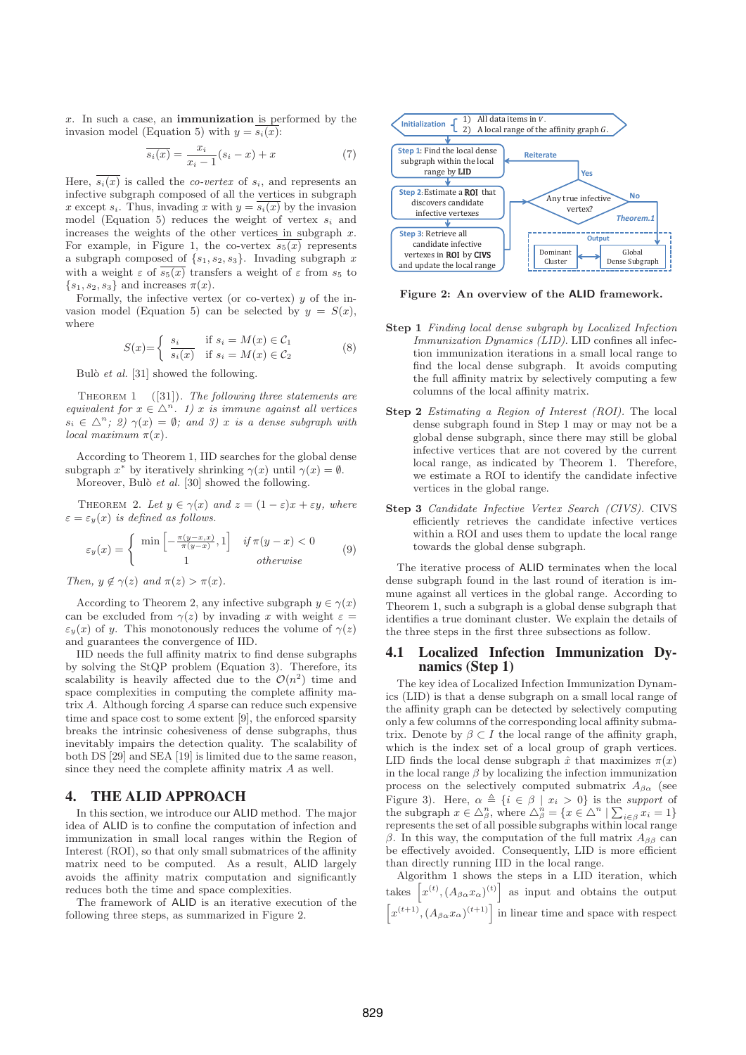x. In such a case, an **immunization** is performed by the invasion model (Equation 5) with  $y = \overline{s_i(x)}$ :

$$
\overline{s_i(x)} = \frac{x_i}{x_i - 1}(s_i - x) + x \tag{7}
$$

Here,  $s_i(x)$  is called the *co-vertex* of  $s_i$ , and represents an infective subgraph composed of all the vertices in subgraph x except  $s_i$ . Thus, invading x with  $y = \overline{s_i(x)}$  by the invasion model (Equation 5) reduces the weight of vertex  $s_i$  and increases the weights of the other vertices in subgraph  $x$ . For example, in Figure 1, the co-vertex  $\overline{s_5(x)}$  represents a subgraph composed of  $\{s_1, s_2, s_3\}$ . Invading subgraph  $x$ with a weight  $\varepsilon$  of  $\overline{s_5(x)}$  transfers a weight of  $\varepsilon$  from  $s_5$  to  $\{s_1, s_2, s_3\}$  and increases  $\pi(x)$ .

Formally, the infective vertex (or co-vertex)  $y$  of the invasion model (Equation 5) can be selected by  $y = S(x)$ , where

$$
S(x) = \begin{cases} s_i & \text{if } s_i = M(x) \in C_1 \\ s_i(x) & \text{if } s_i = M(x) \in C_2 \end{cases}
$$
 (8)

Bulò et al.  $[31]$  showed the following.

THEOREM 1  $([31])$ . The following three statements are equivalent for  $x \in \Delta^n$ . 1) x is immune against all vertices  $s_i \in \Delta^n$ ; 2)  $\gamma(x) = \emptyset$ ; and 3) x is a dense subgraph with local maximum  $\pi(x)$ .

According to Theorem 1, IID searches for the global dense subgraph  $x^*$  by iteratively shrinking  $\gamma(x)$  until  $\gamma(x) = \emptyset$ .

Moreover, Bulò et al. [30] showed the following.

THEOREM 2. Let  $y \in \gamma(x)$  and  $z = (1 - \varepsilon)x + \varepsilon y$ , where  $\varepsilon = \varepsilon_y(x)$  is defined as follows.

$$
\varepsilon_y(x) = \begin{cases} \min\left[ -\frac{\pi(y-x,x)}{\pi(y-x)}, 1 \right] & \text{if } \pi(y-x) < 0 \\ 1 & \text{otherwise} \end{cases}
$$
(9)

Then,  $y \notin \gamma(z)$  and  $\pi(z) > \pi(x)$ .

According to Theorem 2, any infective subgraph  $y \in \gamma(x)$ can be excluded from  $\gamma(z)$  by invading x with weight  $\varepsilon =$  $\varepsilon_y(x)$  of y. This monotonously reduces the volume of  $\gamma(z)$ and guarantees the convergence of IID.

IID needs the full affinity matrix to find dense subgraphs by solving the StQP problem (Equation 3). Therefore, its scalability is heavily affected due to the  $\mathcal{O}(n^2)$  time and space complexities in computing the complete affinity matrix A. Although forcing A sparse can reduce such expensive time and space cost to some extent [9], the enforced sparsity breaks the intrinsic cohesiveness of dense subgraphs, thus inevitably impairs the detection quality. The scalability of both DS [29] and SEA [19] is limited due to the same reason, since they need the complete affinity matrix A as well.

# 4. THE ALID APPROACH

In this section, we introduce our ALID method. The major idea of ALID is to confine the computation of infection and immunization in small local ranges within the Region of Interest (ROI), so that only small submatrices of the affinity matrix need to be computed. As a result, ALID largely avoids the affinity matrix computation and significantly reduces both the time and space complexities.

The framework of ALID is an iterative execution of the following three steps, as summarized in Figure 2.



**Figure 2: An overview of the ALID framework.**

- **Step 1** Finding local dense subgraph by Localized Infection Immunization Dynamics (LID). LID confines all infection immunization iterations in a small local range to find the local dense subgraph. It avoids computing the full affinity matrix by selectively computing a few columns of the local affinity matrix.
- **Step 2** Estimating a Region of Interest *(ROI)*. The local dense subgraph found in Step 1 may or may not be a global dense subgraph, since there may still be global infective vertices that are not covered by the current local range, as indicated by Theorem 1. Therefore, we estimate a ROI to identify the candidate infective vertices in the global range.
- **Step 3** Candidate Infective Vertex Search (CIVS). CIVS efficiently retrieves the candidate infective vertices within a ROI and uses them to update the local range towards the global dense subgraph.

The iterative process of ALID terminates when the local dense subgraph found in the last round of iteration is immune against all vertices in the global range. According to Theorem 1, such a subgraph is a global dense subgraph that identifies a true dominant cluster. We explain the details of the three steps in the first three subsections as follow.

# 4.1 Localized Infection Immunization Dynamics (Step 1)

The key idea of Localized Infection Immunization Dynamics (LID) is that a dense subgraph on a small local range of the affinity graph can be detected by selectively computing only a few columns of the corresponding local affinity submatrix. Denote by  $\beta \subset I$  the local range of the affinity graph, which is the index set of a local group of graph vertices. LID finds the local dense subgraph  $\hat{x}$  that maximizes  $\pi(x)$ in the local range  $\beta$  by localizing the infection immunization process on the selectively computed submatrix  $A_{\beta\alpha}$  (see Figure 3). Here,  $\alpha \triangleq \{i \in \beta \mid x_i > 0\}$  is the support of the subgraph  $x \in \triangle^n_\beta$ , where  $\triangle^n_\beta = \{x \in \triangle^n \mid \sum_{i \in \beta} x_i = 1\}$ represents the set of all possible subgraphs within local range β. In this way, the computation of the full matrix  $A_{ββ}$  can be effectively avoided. Consequently, LID is more efficient than directly running IID in the local range.

Algorithm 1 shows the steps in a LID iteration, which takes  $[x^{(t)}, (A_{\beta\alpha}x_{\alpha})^{(t)}]$  as input and obtains the output  $\left[x^{(t+1)},(A_{\beta\alpha}x_{\alpha})^{(t+1)}\right]$  in linear time and space with respect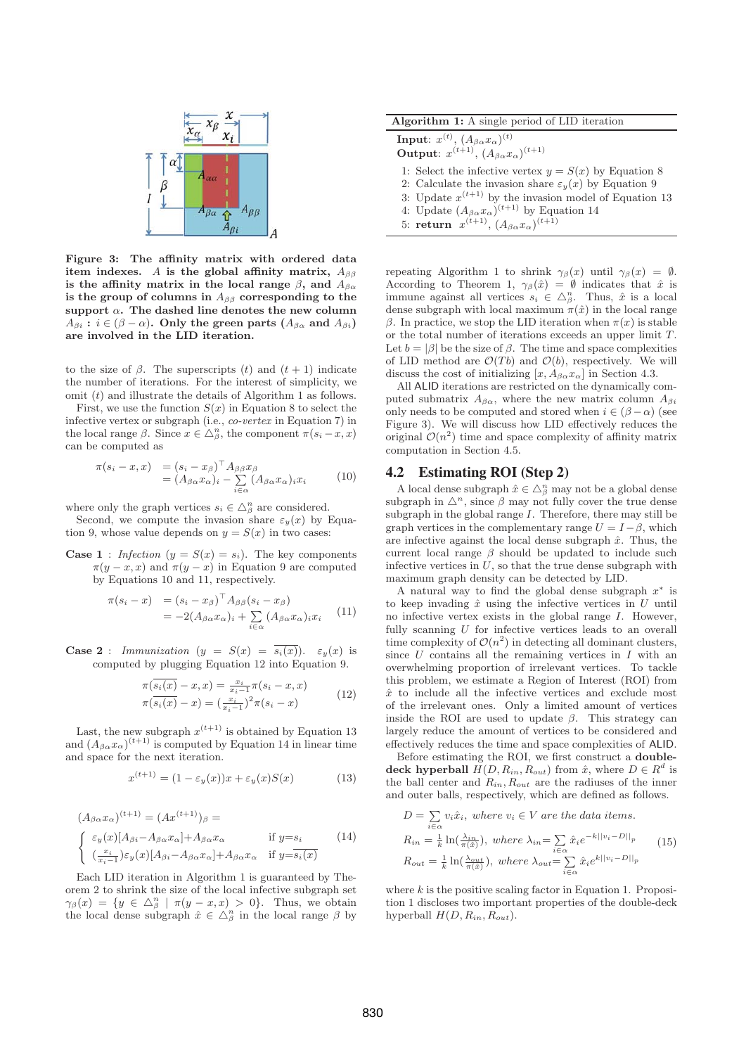

**Figure 3: The affinity matrix with ordered data item indexes.** A **is the global affinity matrix,**  $A_{\beta\beta}$ is the affinity matrix in the local range  $\beta$ , and  $A_{\beta\alpha}$ is the group of columns in  $A_{\beta\beta}$  corresponding to the support  $\alpha$ . The dashed line denotes the new column  $A_{\beta i}$  :  $i \in (\beta - \alpha)$ . Only the green parts  $(A_{\beta \alpha} \text{ and } A_{\beta i})$ **are involved in the LID iteration.**

to the size of  $\beta$ . The superscripts (t) and  $(t + 1)$  indicate the number of iterations. For the interest of simplicity, we omit  $(t)$  and illustrate the details of Algorithm 1 as follows.

First, we use the function  $S(x)$  in Equation 8 to select the infective vertex or subgraph (i.e., co-vertex in Equation 7) in the local range  $\beta$ . Since  $x \in \Delta_{\beta}^{n}$ , the component  $\pi(s_i - x, x)$ can be computed as

$$
\pi(s_i - x, x) = (s_i - x_\beta)^\top A_{\beta\beta} x_\beta \n= (A_{\beta\alpha} x_\alpha)_i - \sum_{i \in \alpha} (A_{\beta\alpha} x_\alpha)_i x_i
$$
\n(10)

where only the graph vertices  $s_i \in \triangle_{\beta}^n$  are considered.

Second, we compute the invasion share  $\varepsilon_u(x)$  by Equation 9, whose value depends on  $y = S(x)$  in two cases:

**Case 1** : Infection  $(y = S(x) = s_i)$ . The key components  $\pi(y-x, x)$  and  $\pi(y-x)$  in Equation 9 are computed by Equations 10 and 11, respectively.

$$
\pi(s_i - x) = (s_i - x_\beta)^\top A_{\beta\beta}(s_i - x_\beta) \n= -2(A_{\beta\alpha}x_\alpha)_i + \sum_{i \in \alpha} (A_{\beta\alpha}x_\alpha)_i x_i
$$
\n(11)

**Case 2** : Immunization  $(y = S(x) = \overline{s_i(x)}$ .  $\varepsilon_y(x)$  is computed by plugging Equation 12 into Equation 9.

$$
\pi(\overline{s_i(x)} - x, x) = \frac{x_i}{x_{i-1}} \pi(s_i - x, x)
$$
  
\n
$$
\pi(\overline{s_i(x)} - x) = (\frac{x_i}{x_{i-1}})^2 \pi(s_i - x)
$$
\n(12)

Last, the new subgraph  $x^{(t+1)}$  is obtained by Equation 13 and  $(A_{\beta\alpha}x_{\alpha})^{(t+1)}$  is computed by Equation 14 in linear time and space for the next iteration.

$$
x^{(t+1)} = (1 - \varepsilon_y(x))x + \varepsilon_y(x)S(x)
$$
 (13)

$$
(A_{\beta\alpha}x_{\alpha})^{(t+1)} = (Ax^{(t+1)})_{\beta} =
$$
\n
$$
\begin{cases}\n\varepsilon_y(x)[A_{\beta i} - A_{\beta\alpha}x_{\alpha}] + A_{\beta\alpha}x_{\alpha} & \text{if } y=s_i \\
(\frac{x_i}{x_{i-1}})\varepsilon_y(x)[A_{\beta i} - A_{\beta\alpha}x_{\alpha}] + A_{\beta\alpha}x_{\alpha} & \text{if } y=s_i(x)\n\end{cases}
$$
\n(14)

Each LID iteration in Algorithm 1 is guaranteed by Theorem 2 to shrink the size of the local infective subgraph set  $\gamma_{\beta}(x) = \{y \in \Delta_{\beta}^{n} \mid \pi(y-x,x) > 0\}.$  Thus, we obtain the local dense subgraph  $\hat{x} \in \triangle^n_\beta$  in the local range  $\beta$  by

| <b>Algorithm 1:</b> A single period of LID iteration |  |  |  |  |  |  |  |
|------------------------------------------------------|--|--|--|--|--|--|--|
|------------------------------------------------------|--|--|--|--|--|--|--|

**Input**:  $x^{(t)}$ ,  $(A_{\beta\alpha}x_{\alpha})^{(t)}$ 

**Output**:  $x^{(t+1)}$ ,  $(A_{\beta\alpha}x_{\alpha})^{(t+1)}$ 

1: Select the infective vertex  $y = S(x)$  by Equation 8

- 2: Calculate the invasion share  $\varepsilon_y(x)$  by Equation 9
- 3: Update  $x^{(t+1)}$  by the invasion model of Equation 13
- 4: Update  $(A_{\beta\alpha}x_{\alpha})^{(t+1)}$  by Equation 14
- 5: **return**  $x^{(t+1)}$ ,  $(A_{\beta\alpha}x_{\alpha})^{(t+1)}$

repeating Algorithm 1 to shrink  $\gamma_\beta(x)$  until  $\gamma_\beta(x) = \emptyset$ . According to Theorem 1,  $\gamma_\beta(\hat{x}) = \emptyset$  indicates that  $\hat{x}$  is immune against all vertices  $s_i \in \Delta^n_\beta$ . Thus,  $\hat{x}$  is a local dense subgraph with local maximum  $\pi(\hat{x})$  in the local range β. In practice, we stop the LID iteration when  $π(x)$  is stable or the total number of iterations exceeds an upper limit T. Let  $b = |\beta|$  be the size of  $\beta$ . The time and space complexities of LID method are  $\mathcal{O}(T_b)$  and  $\mathcal{O}(b)$ , respectively. We will discuss the cost of initializing  $[x, A_{\beta\alpha} x_{\alpha}]$  in Section 4.3.

All ALID iterations are restricted on the dynamically computed submatrix  $A_{\beta\alpha}$ , where the new matrix column  $A_{\beta i}$ only needs to be computed and stored when  $i \in (\beta - \alpha)$  (see Figure 3). We will discuss how LID effectively reduces the original  $\mathcal{O}(n^2)$  time and space complexity of affinity matrix computation in Section 4.5.

## 4.2 Estimating ROI (Step 2)

A local dense subgraph  $\hat{x} \in \triangle^n_\beta$  may not be a global dense subgraph in  $\Delta^n$ , since  $\beta$  may not fully cover the true dense subgraph in the global range  $I$ . Therefore, there may still be graph vertices in the complementary range  $U = I - \beta$ , which are infective against the local dense subgraph  $\hat{x}$ . Thus, the current local range  $\beta$  should be updated to include such infective vertices in  $U$ , so that the true dense subgraph with maximum graph density can be detected by LID.

A natural way to find the global dense subgraph  $x^*$  is to keep invading  $\hat{x}$  using the infective vertices in  $U$  until no infective vertex exists in the global range I. However, fully scanning U for infective vertices leads to an overall time complexity of  $\mathcal{O}(n^2)$  in detecting all dominant clusters, since  $U$  contains all the remaining vertices in  $I$  with an overwhelming proportion of irrelevant vertices. To tackle this problem, we estimate a Region of Interest (ROI) from  $\hat{x}$  to include all the infective vertices and exclude most of the irrelevant ones. Only a limited amount of vertices inside the ROI are used to update  $\beta$ . This strategy can largely reduce the amount of vertices to be considered and effectively reduces the time and space complexities of ALID.

Before estimating the ROI, we first construct a **doubledeck hyperball**  $H(D, R_{in}, R_{out})$  from  $\hat{x}$ , where  $D \in \mathbb{R}^d$  is the ball center and  $R_{in}$ ,  $R_{out}$  are the radiuses of the inner and outer balls, respectively, which are defined as follows.

$$
D = \sum_{i \in \alpha} v_i \hat{x}_i, \text{ where } v_i \in V \text{ are the data items.}
$$
  
\n
$$
R_{in} = \frac{1}{k} \ln(\frac{\lambda_{in}}{\pi(\hat{x})}), \text{ where } \lambda_{in} = \sum_{i \in \alpha} \hat{x}_i e^{-k||v_i - D||_p}
$$
  
\n
$$
R_{out} = \frac{1}{k} \ln(\frac{\lambda_{out}}{\pi(\hat{x})}), \text{ where } \lambda_{out} = \sum_{i \in \alpha} \hat{x}_i e^{k||v_i - D||_p}
$$
\n(15)

where  $k$  is the positive scaling factor in Equation 1. Proposition 1 discloses two important properties of the double-deck hyperball  $H(D, R_{in}, R_{out})$ .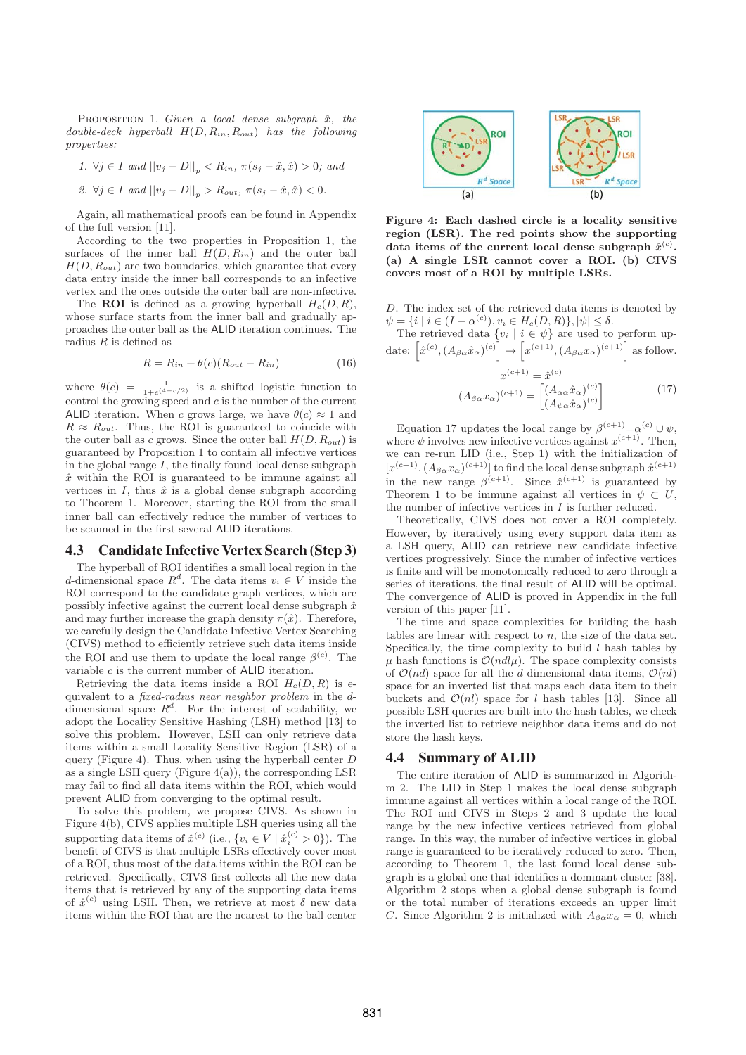PROPOSITION 1. Given a local dense subgraph  $\hat{x}$ , the double-deck hyperball  $H(D, R_{in}, R_{out})$  has the following properties:

1.  $\forall j \in I$  and  $||v_j - D||_p < R_{in}$ ,  $\pi(s_j - \hat{x}, \hat{x}) > 0$ ; and

2. 
$$
\forall j \in I
$$
 and  $||v_j - D||_p > R_{out}$ ,  $\pi(s_j - \hat{x}, \hat{x}) < 0$ .

Again, all mathematical proofs can be found in Appendix of the full version [11].

According to the two properties in Proposition 1, the surfaces of the inner ball  $H(D, R_{in})$  and the outer ball  $H(D, R_{out})$  are two boundaries, which guarantee that every data entry inside the inner ball corresponds to an infective vertex and the ones outside the outer ball are non-infective.

The **ROI** is defined as a growing hyperball  $H_c(D, R)$ , whose surface starts from the inner ball and gradually approaches the outer ball as the ALID iteration continues. The radius  $R$  is defined as

$$
R = R_{in} + \theta(c)(R_{out} - R_{in})
$$
\n(16)

where  $\theta(c) = \frac{1}{1 + e^{(4 - c/2)}}$  is a shifted logistic function to control the growing speed and  $c$  is the number of the current ALID iteration. When c grows large, we have  $\theta(c) \approx 1$  and  $R \approx R_{out}$ . Thus, the ROI is guaranteed to coincide with the outer ball as c grows. Since the outer ball  $H(D, R_{out})$  is guaranteed by Proposition 1 to contain all infective vertices in the global range  $I$ , the finally found local dense subgraph  $\hat{x}$  within the ROI is guaranteed to be immune against all vertices in  $I$ , thus  $\hat{x}$  is a global dense subgraph according to Theorem 1. Moreover, starting the ROI from the small inner ball can effectively reduce the number of vertices to be scanned in the first several ALID iterations.

#### 4.3 Candidate Infective Vertex Search (Step 3)

The hyperball of ROI identifies a small local region in the d-dimensional space  $R^d$ . The data items  $v_i \in V$  inside the ROI correspond to the candidate graph vertices, which are possibly infective against the current local dense subgraph  $\hat{x}$ and may further increase the graph density  $\pi(\hat{x})$ . Therefore, we carefully design the Candidate Infective Vertex Searching (CIVS) method to efficiently retrieve such data items inside the ROI and use them to update the local range  $\beta^{(c)}$ . The variable c is the current number of ALID iteration.

Retrieving the data items inside a ROI  $H_c(D, R)$  is equivalent to a fixed-radius near neighbor problem in the ddimensional space  $R^d$ . For the interest of scalability, we adopt the Locality Sensitive Hashing (LSH) method [13] to solve this problem. However, LSH can only retrieve data items within a small Locality Sensitive Region (LSR) of a query (Figure 4). Thus, when using the hyperball center  $D$ as a single LSH query (Figure 4(a)), the corresponding LSR may fail to find all data items within the ROI, which would prevent ALID from converging to the optimal result.

To solve this problem, we propose CIVS. As shown in Figure 4(b), CIVS applies multiple LSH queries using all the supporting data items of  $\hat{x}^{(c)}$  (i.e.,  $\{v_i \in V \mid \hat{x}_i^{(c)} > 0\}$ ). The benefit of CIVS is that multiple LSRs effectively cover most of a ROI, thus most of the data items within the ROI can be retrieved. Specifically, CIVS first collects all the new data items that is retrieved by any of the supporting data items of  $\hat{x}^{(c)}$  using LSH. Then, we retrieve at most  $\delta$  new data items within the ROI that are the nearest to the ball center



**Figure 4: Each dashed circle is a locality sensitive region (LSR). The red points show the supporting** data items of the current local dense subgraph  $\hat{x}^{(c)}$ . **(a) A single LSR cannot cover a ROI. (b) CIVS covers most of a ROI by multiple LSRs.**

D. The index set of the retrieved data items is denoted by  $\psi = \{i \mid i \in (I - \alpha^{(c)}), v_i \in H_c(D, R)\}, |\psi| \le \delta.$ 

The retrieved data  $\{v_i \mid i \in \psi\}$  are used to perform update:  $\left[\hat{x}^{(c)}, (A_{\beta\alpha}\hat{x}_{\alpha})^{(c)}\right] \rightarrow \left[x^{(c+1)}, (A_{\beta\alpha}x_{\alpha})^{(c+1)}\right]$  as follow.

$$
x^{(c+1)} = \hat{x}^{(c)}
$$

$$
(A_{\beta\alpha}x_{\alpha})^{(c+1)} = \begin{bmatrix} (A_{\alpha\alpha}\hat{x}_{\alpha})^{(c)} \\ (A_{\psi\alpha}\hat{x}_{\alpha})^{(c)} \end{bmatrix}
$$
(17)

Equation 17 updates the local range by  $\beta^{(c+1)}{=}\alpha^{(c)}\cup\psi,$ where  $\psi$  involves new infective vertices against  $x^{(c+1)}$ . Then, we can re-run LID (i.e., Step 1) with the initialization of  $[x^{(c+1)},(A_{\beta\alpha}x_{\alpha})^{(c+1)}]$  to find the local dense subgraph  $\hat{x}^{(c+1)}$ in the new range  $\beta^{(c+1)}$ . Since  $\hat{x}^{(c+1)}$  is guaranteed by Theorem 1 to be immune against all vertices in  $\psi \subset U$ , the number of infective vertices in  $I$  is further reduced.

Theoretically, CIVS does not cover a ROI completely. However, by iteratively using every support data item as a LSH query, ALID can retrieve new candidate infective vertices progressively. Since the number of infective vertices is finite and will be monotonically reduced to zero through a series of iterations, the final result of ALID will be optimal. The convergence of ALID is proved in Appendix in the full version of this paper [11].

The time and space complexities for building the hash tables are linear with respect to  $n$ , the size of the data set. Specifically, the time complexity to build  $l$  hash tables by  $\mu$  hash functions is  $\mathcal{O}(ndl\mu)$ . The space complexity consists of  $\mathcal{O}(nd)$  space for all the d dimensional data items,  $\mathcal{O}(nl)$ space for an inverted list that maps each data item to their buckets and  $\mathcal{O}(nl)$  space for l hash tables [13]. Since all possible LSH queries are built into the hash tables, we check the inverted list to retrieve neighbor data items and do not store the hash keys.

#### 4.4 Summary of ALID

The entire iteration of ALID is summarized in Algorithm 2. The LID in Step 1 makes the local dense subgraph immune against all vertices within a local range of the ROI. The ROI and CIVS in Steps 2 and 3 update the local range by the new infective vertices retrieved from global range. In this way, the number of infective vertices in global range is guaranteed to be iteratively reduced to zero. Then, according to Theorem 1, the last found local dense subgraph is a global one that identifies a dominant cluster [38]. Algorithm 2 stops when a global dense subgraph is found or the total number of iterations exceeds an upper limit C. Since Algorithm 2 is initialized with  $A_{\beta\alpha}x_{\alpha}=0$ , which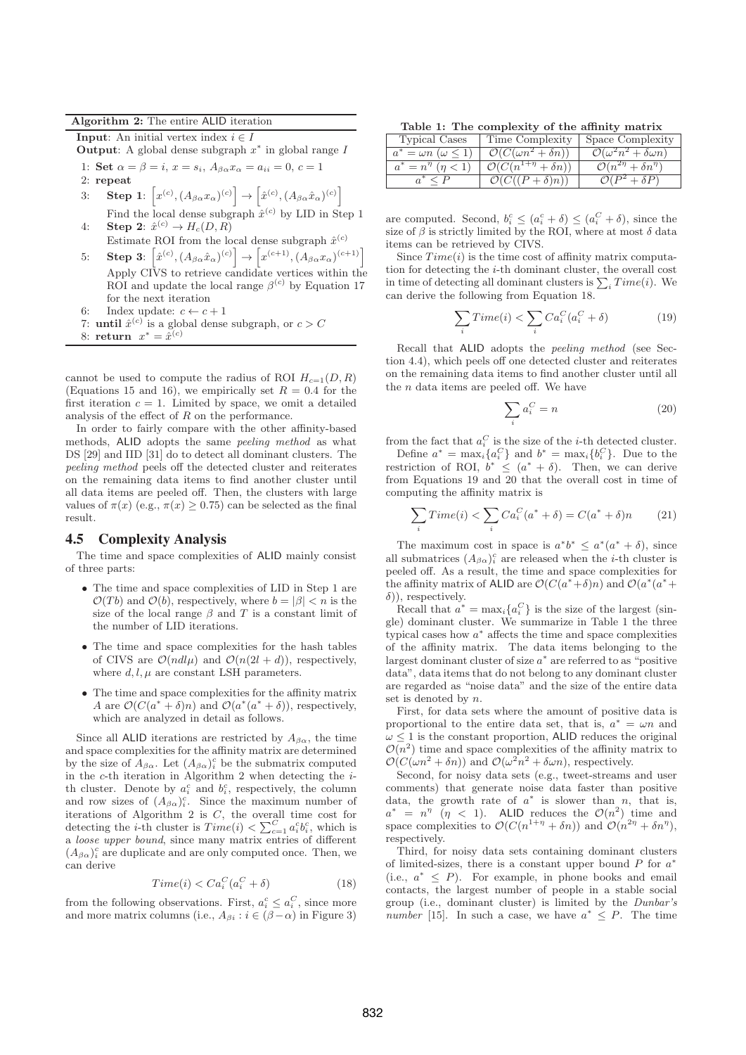#### **Algorithm 2:** The entire ALID iteration

**Input**: An initial vertex index  $i \in I$ 

**Output**: A global dense subgraph  $x^*$  in global range I

1: **Set**  $\alpha = \beta = i$ ,  $x = s_i$ ,  $A_{\beta\alpha} x_{\alpha} = a_{ii} = 0$ ,  $c = 1$ 

2: **repeat**

$$
3: \quad \mathbf{Step 1: } \left[ x^{(c)}, (A_{\beta\alpha} x_{\alpha})^{(c)} \right] \rightarrow \left[ \hat{x}^{(c)}, (A_{\beta\alpha} \hat{x}_{\alpha})^{(c)} \right]
$$

- Find the local dense subgraph  $\hat{x}^{(c)}$  by LID in Step 1 4: **Step 2**:  $\hat{x}^{(c)} \rightarrow H_c(D, R)$
- Estimate ROI from the local dense subgraph  $\hat{x}^{(c)}$
- 5: **Step 3**:  $\left[\hat{x}^{(c)}, (A_{\beta\alpha}\hat{x}_{\alpha})^{(c)}\right] \rightarrow \left[x^{(c+1)}, (A_{\beta\alpha}x_{\alpha})^{(c+1)}\right]$ Apply CIVS to retrieve candidate vertices within the ROI and update the local range  $\beta^{(c)}$  by Equation 17 for the next iteration
- 6: Index update:  $c \leftarrow c + 1$
- 7: **until**  $\hat{x}^{(c)}$  is a global dense subgraph, or  $c > C$ 8: **return**  $x^* = \tilde{x}^{(c)}$

cannot be used to compute the radius of ROI  $H_{c=1}(D, R)$ (Equations 15 and 16), we empirically set  $R = 0.4$  for the first iteration  $c = 1$ . Limited by space, we omit a detailed analysis of the effect of  $R$  on the performance.

In order to fairly compare with the other affinity-based methods, ALID adopts the same peeling method as what DS [29] and IID [31] do to detect all dominant clusters. The peeling method peels off the detected cluster and reiterates on the remaining data items to find another cluster until all data items are peeled off. Then, the clusters with large values of  $\pi(x)$  (e.g.,  $\pi(x) \geq 0.75$ ) can be selected as the final result.

# 4.5 Complexity Analysis

The time and space complexities of ALID mainly consist of three parts:

- The time and space complexities of LID in Step 1 are  $\mathcal{O}(Tb)$  and  $\mathcal{O}(b)$ , respectively, where  $b = |\beta| < n$  is the size of the local range  $\beta$  and T is a constant limit of the number of LID iterations.
- The time and space complexities for the hash tables of CIVS are  $\mathcal{O}(ndl\mu)$  and  $\mathcal{O}(n(2l+d))$ , respectively, where  $d, l, \mu$  are constant LSH parameters.
- The time and space complexities for the affinity matrix A are  $\mathcal{O}(C(a^* + \delta)n)$  and  $\mathcal{O}(a^*(a^* + \delta))$ , respectively, which are analyzed in detail as follows.

Since all ALID iterations are restricted by  $A_{\beta\alpha}$ , the time and space complexities for the affinity matrix are determined by the size of  $A_{\beta\alpha}$ . Let  $(A_{\beta\alpha})_i^c$  be the submatrix computed in the  $c$ -th iteration in Algorithm 2 when detecting the  $i$ th cluster. Denote by  $a_i^c$  and  $b_i^c$ , respectively, the column and row sizes of  $(A_{\beta\alpha})_i^c$ . Since the maximum number of iterations of Algorithm 2 is C, the overall time cost for detecting the *i*-th cluster is  $Time(i) < \sum_{c=1}^{C} a_i^c b_i^c$ , which is a loose upper bound, since many matrix entries of different  $(A_{\beta\alpha})_i^c$  are duplicate and are only computed once. Then, we can derive

$$
Time(i) < Ca_i^C(a_i^C + \delta) \tag{18}
$$

from the following observations. First,  $a_i^c \le a_i^C$ , since more and more matrix columns (i.e.,  $A_{\beta i} : i \in (\beta - \alpha)$  in Figure 3)

**Table 1: The complexity of the affinity matrix**

| <b>Typical Cases</b>                | Time Complexity                         | Space Complexity                                         |
|-------------------------------------|-----------------------------------------|----------------------------------------------------------|
| $a^* = \omega n \; (\omega \leq 1)$ | $\mathcal{O}(C(\omega n^2 + \delta n))$ | $\overline{\mathcal{O}(\omega^2 n^2 + \delta \omega n)}$ |
| $a^* = n^{\eta}$ $(\eta < 1)$       | $\mathcal{O}(C(n^{1+\eta}+\delta n))$   | $\mathcal{O}(n^{2\eta} + \delta n^{\eta})$               |
|                                     | $\mathcal{O}(C((P+\delta)n))$           | $\mathcal{O}(P^2+\delta P)$                              |

are computed. Second,  $b_i^c \leq (a_i^c + \delta) \leq (a_i^C + \delta)$ , since the size of  $\beta$  is strictly limited by the ROI, where at most  $\delta$  data items can be retrieved by CIVS.

Since  $Time(i)$  is the time cost of affinity matrix computation for detecting the i-th dominant cluster, the overall cost in time of detecting all dominant clusters is  $\sum_i Time(i)$ . We can derive the following from Equation 18.

$$
\sum_{i} Time(i) < \sum_{i} Ca_i^C(a_i^C + \delta) \tag{19}
$$

Recall that ALID adopts the peeling method (see Section 4.4), which peels off one detected cluster and reiterates on the remaining data items to find another cluster until all the  $n$  data items are peeled off. We have

$$
\sum_{i} a_i^C = n \tag{20}
$$

from the fact that  $a_i^C$  is the size of the *i*-th detected cluster.

Define  $a^* = \max_i \{a_i^C\}$  and  $b^* = \max_i \{b_i^C\}$ . Due to the restriction of ROI,  $b^* \leq (a^* + \delta)$ . Then, we can derive from Equations 19 and 20 that the overall cost in time of computing the affinity matrix is

$$
\sum_{i} Time(i) < \sum_{i} Ca_i^C(a^* + \delta) = C(a^* + \delta)n \tag{21}
$$

The maximum cost in space is  $a^*b^* \le a^*(a^* + \delta)$ , since all submatrices  $(A_{\beta\alpha})_i^c$  are released when the *i*-th cluster is peeled off. As a result, the time and space complexities for the affinity matrix of ALID are  $\mathcal{O}(C(a^*+\delta)n)$  and  $\mathcal{O}(a^*(a^*+\delta))$  $\delta$ ), respectively.

Recall that  $a^* = \max_i \{a_i^C\}$  is the size of the largest (single) dominant cluster. We summarize in Table 1 the three typical cases how  $a^*$  affects the time and space complexities of the affinity matrix. The data items belonging to the largest dominant cluster of size  $a^*$  are referred to as "positive" data", data items that do not belong to any dominant cluster are regarded as "noise data" and the size of the entire data set is denoted by n.

First, for data sets where the amount of positive data is proportional to the entire data set, that is,  $a^* = \omega n$  and  $\omega \leq 1$  is the constant proportion, ALID reduces the original  $\mathcal{O}(n^2)$  time and space complexities of the affinity matrix to  $\mathcal{O}(C(\omega n^2 + \delta n))$  and  $\mathcal{O}(\omega^2 n^2 + \delta \omega n)$ , respectively.

Second, for noisy data sets (e.g., tweet-streams and user comments) that generate noise data faster than positive data, the growth rate of  $a^*$  is slower than n, that is,  $a^* = n^{\eta}$  ( $\eta$  < 1). ALID reduces the  $\mathcal{O}(n^2)$  time and space complexities to  $\mathcal{O}(C(n^{1+\eta} + \delta n))$  and  $\mathcal{O}(n^{2\eta} + \delta n^{\eta})$ , respectively.

Third, for noisy data sets containing dominant clusters of limited-sizes, there is a constant upper bound  $P$  for  $a^*$ (i.e.,  $a^* \leq P$ ). For example, in phone books and email contacts, the largest number of people in a stable social group (i.e., dominant cluster) is limited by the Dunbar's *number* [15]. In such a case, we have  $a^* \leq P$ . The time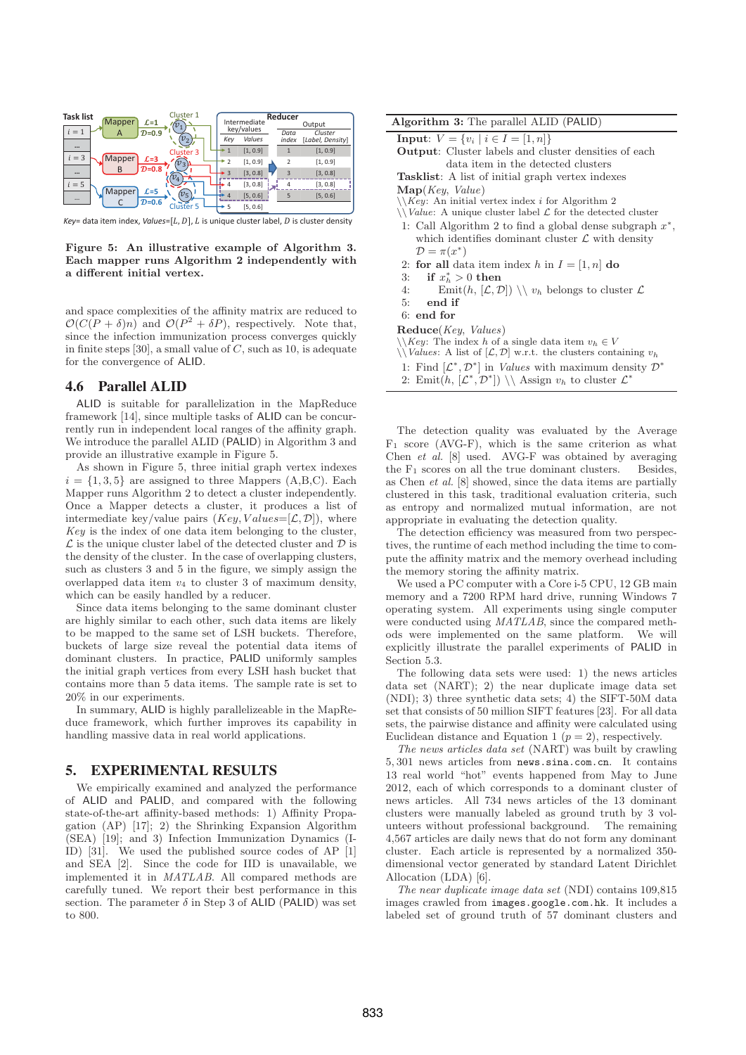

*Key*= data item index, *Values*=[L, D], L is unique cluster label, D is cluster density

**Figure 5: An illustrative example of Algorithm 3. Each mapper runs Algorithm 2 independently with a different initial vertex.**

and space complexities of the affinity matrix are reduced to  $\mathcal{O}(C(P+\delta)n)$  and  $\mathcal{O}(P^2+\delta P)$ , respectively. Note that, since the infection immunization process converges quickly in finite steps [30], a small value of  $C$ , such as 10, is adequate for the convergence of ALID.

## 4.6 Parallel ALID

ALID is suitable for parallelization in the MapReduce framework [14], since multiple tasks of ALID can be concurrently run in independent local ranges of the affinity graph. We introduce the parallel ALID (PALID) in Algorithm 3 and provide an illustrative example in Figure 5.

As shown in Figure 5, three initial graph vertex indexes  $i = \{1, 3, 5\}$  are assigned to three Mappers  $(A, B, C)$ . Each Mapper runs Algorithm 2 to detect a cluster independently. Once a Mapper detects a cluster, it produces a list of intermediate key/value pairs  $(Key, Values=[\mathcal{L}, \mathcal{D}]),$  where Key is the index of one data item belonging to the cluster,  $\mathcal L$  is the unique cluster label of the detected cluster and  $\mathcal D$  is the density of the cluster. In the case of overlapping clusters, such as clusters 3 and 5 in the figure, we simply assign the overlapped data item  $v_4$  to cluster 3 of maximum density, which can be easily handled by a reducer.

Since data items belonging to the same dominant cluster are highly similar to each other, such data items are likely to be mapped to the same set of LSH buckets. Therefore, buckets of large size reveal the potential data items of dominant clusters. In practice, PALID uniformly samples the initial graph vertices from every LSH hash bucket that contains more than 5 data items. The sample rate is set to 20% in our experiments.

In summary, ALID is highly parallelizeable in the MapReduce framework, which further improves its capability in handling massive data in real world applications.

# 5. EXPERIMENTAL RESULTS

We empirically examined and analyzed the performance of ALID and PALID, and compared with the following state-of-the-art affinity-based methods: 1) Affinity Propagation (AP) [17]; 2) the Shrinking Expansion Algorithm (SEA) [19]; and 3) Infection Immunization Dynamics (I-ID) [31]. We used the published source codes of AP [1] and SEA [2]. Since the code for IID is unavailable, we implemented it in MATLAB. All compared methods are carefully tuned. We report their best performance in this section. The parameter  $\delta$  in Step 3 of ALID (PALID) was set to 800.

| <b>Algorithm 3:</b> The parallel ALID (PALID)                                                                              |  |  |  |  |  |
|----------------------------------------------------------------------------------------------------------------------------|--|--|--|--|--|
| <b>Input:</b> $V = \{v_i \mid i \in I = [1, n]\}\$                                                                         |  |  |  |  |  |
| <b>Output:</b> Cluster labels and cluster densities of each                                                                |  |  |  |  |  |
| data item in the detected clusters                                                                                         |  |  |  |  |  |
| <b>Tasklist:</b> A list of initial graph vertex indexes                                                                    |  |  |  |  |  |
| $\mathbf{Map}(Key, Value)$                                                                                                 |  |  |  |  |  |
| $\setminus$ <i>Key</i> : An initial vertex index <i>i</i> for Algorithm 2                                                  |  |  |  |  |  |
| $\setminus$ <i>Value:</i> A unique cluster label $\mathcal L$ for the detected cluster                                     |  |  |  |  |  |
| 1: Call Algorithm 2 to find a global dense subgraph $x^*$ ,<br>which identifies dominant cluster $\mathcal L$ with density |  |  |  |  |  |
| $\mathcal{D} = \pi(x^*)$                                                                                                   |  |  |  |  |  |
|                                                                                                                            |  |  |  |  |  |
| 2: for all data item index h in $I = [1, n]$ do                                                                            |  |  |  |  |  |
| if $x_h^* > 0$ then<br>3:                                                                                                  |  |  |  |  |  |
| Emit $(h, [\mathcal{L}, \mathcal{D}]) \setminus v_h$ belongs to cluster $\mathcal L$<br>4:                                 |  |  |  |  |  |
| end if<br>5:                                                                                                               |  |  |  |  |  |
| $6:$ end for                                                                                                               |  |  |  |  |  |

- **Reduce**(Key, Values)
- $\setminus$  Key: The index h of a single data item  $v_h \in V$
- $\setminus$  Values: A list of  $[\mathcal{L}, \mathcal{D}]$  w.r.t. the clusters containing  $v_h$
- 1: Find  $[\mathcal{L}^*, \mathcal{D}^*]$  in *Values* with maximum density  $\mathcal{D}^*$
- 2: Emit $(h, [\mathcal{L}^*, \mathcal{D}^*]) \setminus \Lambda$ ssign  $v_h$  to cluster  $\mathcal{L}^*$

The detection quality was evaluated by the Average  $F_1$  score (AVG-F), which is the same criterion as what Chen et al. [8] used. AVG-F was obtained by averaging the  $F_1$  scores on all the true dominant clusters. Besides, as Chen et al. [8] showed, since the data items are partially clustered in this task, traditional evaluation criteria, such as entropy and normalized mutual information, are not appropriate in evaluating the detection quality.

The detection efficiency was measured from two perspectives, the runtime of each method including the time to compute the affinity matrix and the memory overhead including the memory storing the affinity matrix.

We used a PC computer with a Core i-5 CPU, 12 GB main memory and a 7200 RPM hard drive, running Windows 7 operating system. All experiments using single computer were conducted using MATLAB, since the compared methods were implemented on the same platform. We will explicitly illustrate the parallel experiments of PALID in Section 5.3.

The following data sets were used: 1) the news articles data set (NART); 2) the near duplicate image data set (NDI); 3) three synthetic data sets; 4) the SIFT-50M data set that consists of 50 million SIFT features [23]. For all data sets, the pairwise distance and affinity were calculated using Euclidean distance and Equation 1 ( $p = 2$ ), respectively.

The news articles data set (NART) was built by crawling 5, 301 news articles from news.sina.com.cn. It contains 13 real world "hot" events happened from May to June 2012, each of which corresponds to a dominant cluster of news articles. All 734 news articles of the 13 dominant clusters were manually labeled as ground truth by 3 volunteers without professional background. The remaining 4,567 articles are daily news that do not form any dominant cluster. Each article is represented by a normalized 350 dimensional vector generated by standard Latent Dirichlet Allocation (LDA) [6].

The near duplicate image data set (NDI) contains 109,815 images crawled from images.google.com.hk. It includes a labeled set of ground truth of 57 dominant clusters and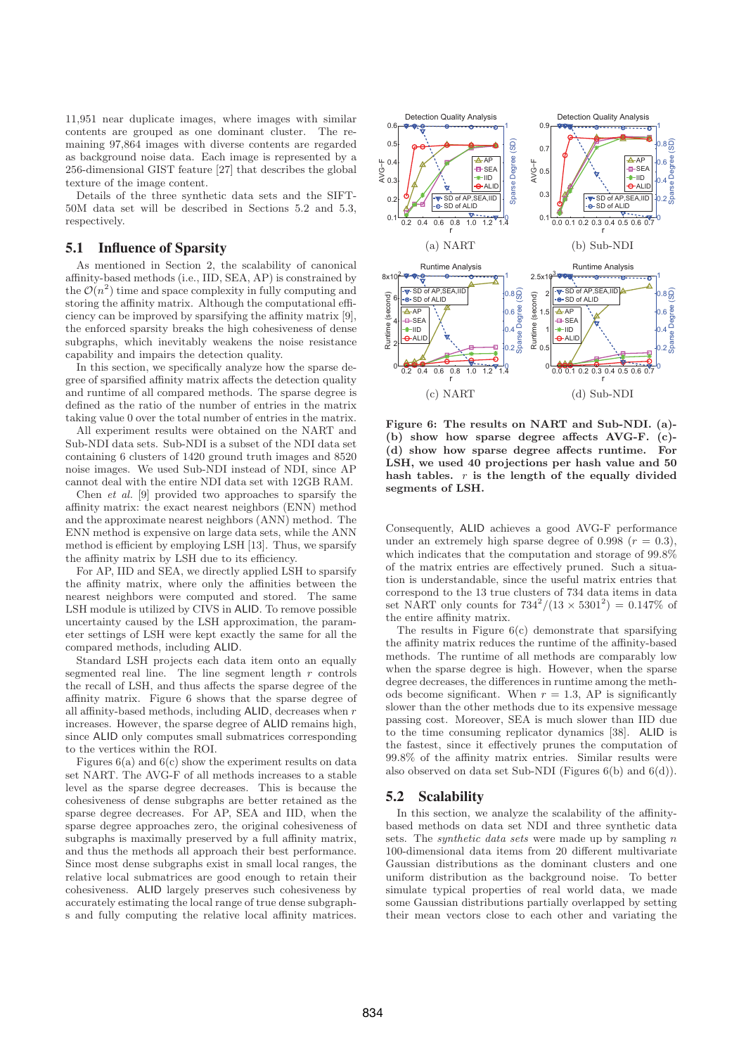11,951 near duplicate images, where images with similar contents are grouped as one dominant cluster. The remaining 97,864 images with diverse contents are regarded as background noise data. Each image is represented by a 256-dimensional GIST feature [27] that describes the global texture of the image content.

Details of the three synthetic data sets and the SIFT-50M data set will be described in Sections 5.2 and 5.3, respectively.

## 5.1 Influence of Sparsity

As mentioned in Section 2, the scalability of canonical affinity-based methods (i.e., IID, SEA, AP) is constrained by the  $\mathcal{O}(n^2)$  time and space complexity in fully computing and storing the affinity matrix. Although the computational efficiency can be improved by sparsifying the affinity matrix [9], the enforced sparsity breaks the high cohesiveness of dense subgraphs, which inevitably weakens the noise resistance capability and impairs the detection quality.

In this section, we specifically analyze how the sparse degree of sparsified affinity matrix affects the detection quality and runtime of all compared methods. The sparse degree is defined as the ratio of the number of entries in the matrix taking value 0 over the total number of entries in the matrix.

All experiment results were obtained on the NART and Sub-NDI data sets. Sub-NDI is a subset of the NDI data set containing 6 clusters of 1420 ground truth images and 8520 noise images. We used Sub-NDI instead of NDI, since AP cannot deal with the entire NDI data set with 12GB RAM.

Chen et al. [9] provided two approaches to sparsify the affinity matrix: the exact nearest neighbors (ENN) method and the approximate nearest neighbors (ANN) method. The ENN method is expensive on large data sets, while the ANN method is efficient by employing LSH [13]. Thus, we sparsify the affinity matrix by LSH due to its efficiency.

For AP, IID and SEA, we directly applied LSH to sparsify the affinity matrix, where only the affinities between the nearest neighbors were computed and stored. The same LSH module is utilized by CIVS in ALID. To remove possible uncertainty caused by the LSH approximation, the parameter settings of LSH were kept exactly the same for all the compared methods, including ALID.

Standard LSH projects each data item onto an equally segmented real line. The line segment length  $r$  controls the recall of LSH, and thus affects the sparse degree of the affinity matrix. Figure 6 shows that the sparse degree of all affinity-based methods, including ALID, decreases when r increases. However, the sparse degree of ALID remains high, since ALID only computes small submatrices corresponding to the vertices within the ROI.

Figures  $6(a)$  and  $6(c)$  show the experiment results on data set NART. The AVG-F of all methods increases to a stable level as the sparse degree decreases. This is because the cohesiveness of dense subgraphs are better retained as the sparse degree decreases. For AP, SEA and IID, when the sparse degree approaches zero, the original cohesiveness of subgraphs is maximally preserved by a full affinity matrix, and thus the methods all approach their best performance. Since most dense subgraphs exist in small local ranges, the relative local submatrices are good enough to retain their cohesiveness. ALID largely preserves such cohesiveness by accurately estimating the local range of true dense subgraphs and fully computing the relative local affinity matrices.



**Figure 6: The results on NART and Sub-NDI. (a)- (b) show how sparse degree affects AVG-F. (c)- (d) show how sparse degree affects runtime. For LSH, we used 40 projections per hash value and 50 hash tables.** r **is the length of the equally divided segments of LSH.**

Consequently, ALID achieves a good AVG-F performance under an extremely high sparse degree of 0.998 ( $r = 0.3$ ), which indicates that the computation and storage of 99.8% of the matrix entries are effectively pruned. Such a situation is understandable, since the useful matrix entries that correspond to the 13 true clusters of 734 data items in data set NART only counts for  $734^2/(13 \times 5301^2) = 0.147\%$  of the entire affinity matrix.

The results in Figure  $6(c)$  demonstrate that sparsifying the affinity matrix reduces the runtime of the affinity-based methods. The runtime of all methods are comparably low when the sparse degree is high. However, when the sparse degree decreases, the differences in runtime among the methods become significant. When  $r = 1.3$ , AP is significantly slower than the other methods due to its expensive message passing cost. Moreover, SEA is much slower than IID due to the time consuming replicator dynamics [38]. ALID is the fastest, since it effectively prunes the computation of 99.8% of the affinity matrix entries. Similar results were also observed on data set Sub-NDI (Figures 6(b) and 6(d)).

#### 5.2 Scalability

In this section, we analyze the scalability of the affinitybased methods on data set NDI and three synthetic data sets. The *synthetic data sets* were made up by sampling  $n$ 100-dimensional data items from 20 different multivariate Gaussian distributions as the dominant clusters and one uniform distribution as the background noise. To better simulate typical properties of real world data, we made some Gaussian distributions partially overlapped by setting their mean vectors close to each other and variating the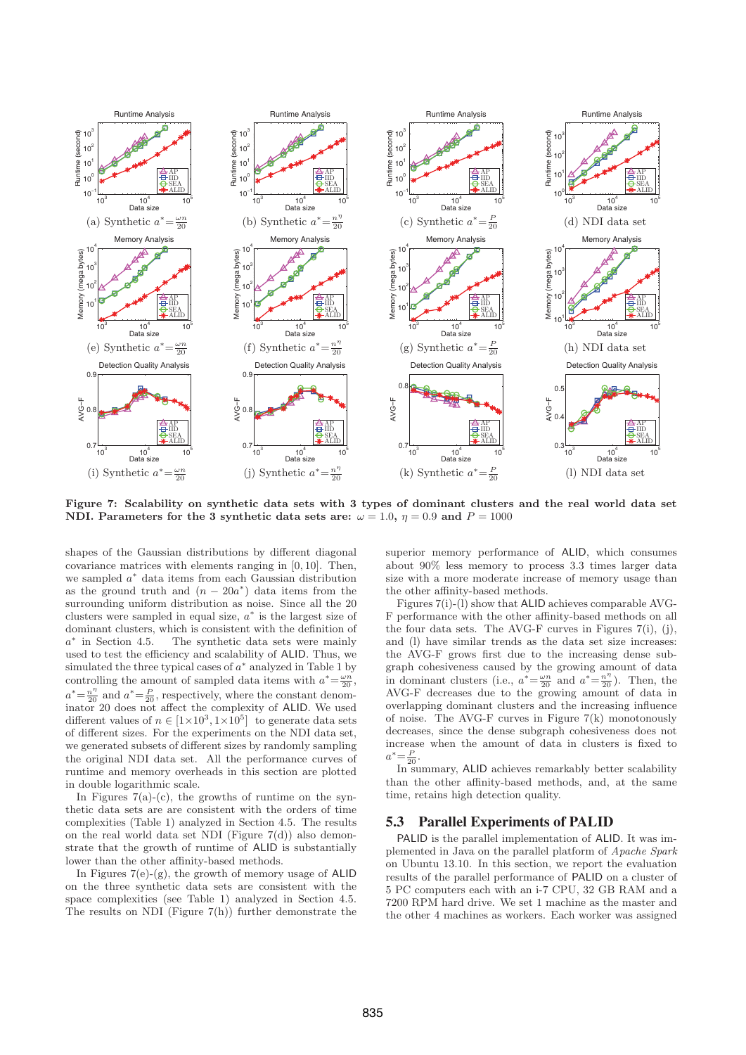

**Figure 7: Scalability on synthetic data sets with 3 types of dominant clusters and the real world data set NDI.** Parameters for the 3 synthetic data sets are:  $\omega = 1.0$ ,  $\eta = 0.9$  and  $P = 1000$ 

shapes of the Gaussian distributions by different diagonal covariance matrices with elements ranging in [0, 10]. Then, we sampled a<sup>∗</sup> data items from each Gaussian distribution as the ground truth and  $(n - 20a^*)$  data items from the surrounding uniform distribution as noise. Since all the 20 clusters were sampled in equal size,  $a^*$  is the largest size of dominant clusters, which is consistent with the definition of  $a^*$  in Section 4.5. The synthetic data sets were mainly used to test the efficiency and scalability of ALID. Thus, we simulated the three typical cases of  $a^*$  analyzed in Table 1 by controlling the amount of sampled data items with  $a^* = \frac{\omega n}{20}$ ,  $a^* = \frac{n}{20}$  and  $a^* = \frac{P}{20}$ , respectively, where the constant denominator 20 does not affect the complexity of ALID. We used different values of  $n \in [1 \times 10^3, 1 \times 10^5]$  to generate data sets of different sizes. For the experiments on the NDI data set, we generated subsets of different sizes by randomly sampling the original NDI data set. All the performance curves of runtime and memory overheads in this section are plotted in double logarithmic scale.

In Figures  $7(a)-(c)$ , the growths of runtime on the synthetic data sets are are consistent with the orders of time complexities (Table 1) analyzed in Section 4.5. The results on the real world data set NDI (Figure  $7(d)$ ) also demonstrate that the growth of runtime of ALID is substantially lower than the other affinity-based methods.

In Figures 7(e)-(g), the growth of memory usage of ALID on the three synthetic data sets are consistent with the space complexities (see Table 1) analyzed in Section 4.5. The results on NDI (Figure  $7(h)$ ) further demonstrate the superior memory performance of ALID, which consumes about 90% less memory to process 3.3 times larger data size with a more moderate increase of memory usage than the other affinity-based methods.

Figures 7(i)-(l) show that ALID achieves comparable AVG-F performance with the other affinity-based methods on all the four data sets. The AVG-F curves in Figures 7(i), (j), and (l) have similar trends as the data set size increases: the AVG-F grows first due to the increasing dense subgraph cohesiveness caused by the growing amount of data in dominant clusters (i.e.,  $a^* = \frac{\omega n}{20}$  and  $a^* = \frac{n}{20}$ ). Then, the AVG-F decreases due to the growing amount of data in overlapping dominant clusters and the increasing influence of noise. The AVG-F curves in Figure  $7(k)$  monotonously decreases, since the dense subgraph cohesiveness does not increase when the amount of data in clusters is fixed to  $a^* = \frac{P}{20}$ .

In summary, ALID achieves remarkably better scalability than the other affinity-based methods, and, at the same time, retains high detection quality.

# 5.3 Parallel Experiments of PALID

PALID is the parallel implementation of ALID. It was implemented in Java on the parallel platform of Apache Spark on Ubuntu 13.10. In this section, we report the evaluation results of the parallel performance of PALID on a cluster of 5 PC computers each with an i-7 CPU, 32 GB RAM and a 7200 RPM hard drive. We set 1 machine as the master and the other 4 machines as workers. Each worker was assigned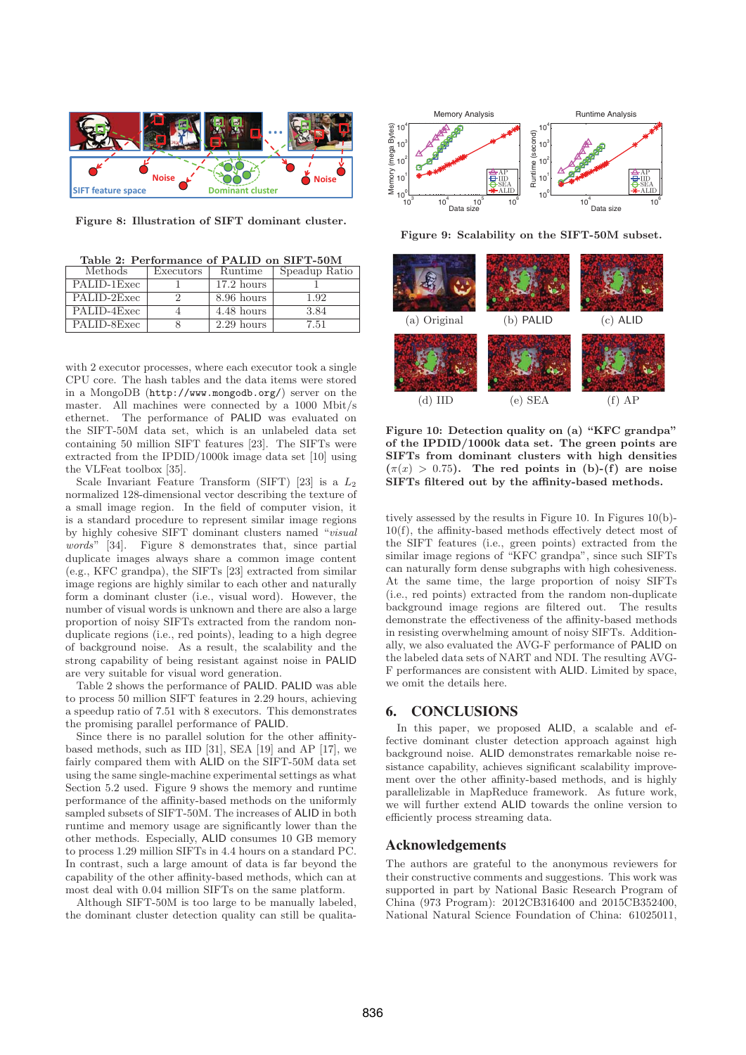

**Figure 8: Illustration of SIFT dominant cluster.**

**Table 2: Performance of PALID on SIFT-50M**

| Methods     | Executors | Runtime      | Speadup Ratio |
|-------------|-----------|--------------|---------------|
| PALID-1Exec |           | $17.2$ hours |               |
| PALID-2Exec |           | 8.96 hours   | 1.92          |
| PALID-4Exec |           | 4.48 hours   | 3.84          |
| PALID-8Exec |           | $2.29$ hours | 7.51          |

with 2 executor processes, where each executor took a single CPU core. The hash tables and the data items were stored in a MongoDB (http://www.mongodb.org/) server on the master. All machines were connected by a 1000 Mbit/s ethernet. The performance of PALID was evaluated on the SIFT-50M data set, which is an unlabeled data set containing 50 million SIFT features [23]. The SIFTs were extracted from the IPDID/1000k image data set [10] using the VLFeat toolbox [35].

Scale Invariant Feature Transform (SIFT) [23] is a  $L_2$ normalized 128-dimensional vector describing the texture of a small image region. In the field of computer vision, it is a standard procedure to represent similar image regions by highly cohesive SIFT dominant clusters named "visual words" [34]. Figure 8 demonstrates that, since partial duplicate images always share a common image content (e.g., KFC grandpa), the SIFTs [23] extracted from similar image regions are highly similar to each other and naturally form a dominant cluster (i.e., visual word). However, the number of visual words is unknown and there are also a large proportion of noisy SIFTs extracted from the random nonduplicate regions (i.e., red points), leading to a high degree of background noise. As a result, the scalability and the strong capability of being resistant against noise in PALID are very suitable for visual word generation.

Table 2 shows the performance of PALID. PALID was able to process 50 million SIFT features in 2.29 hours, achieving a speedup ratio of 7.51 with 8 executors. This demonstrates the promising parallel performance of PALID.

Since there is no parallel solution for the other affinitybased methods, such as IID [31], SEA [19] and AP [17], we fairly compared them with ALID on the SIFT-50M data set using the same single-machine experimental settings as what Section 5.2 used. Figure 9 shows the memory and runtime performance of the affinity-based methods on the uniformly sampled subsets of SIFT-50M. The increases of ALID in both runtime and memory usage are significantly lower than the other methods. Especially, ALID consumes 10 GB memory to process 1.29 million SIFTs in 4.4 hours on a standard PC. In contrast, such a large amount of data is far beyond the capability of the other affinity-based methods, which can at most deal with 0.04 million SIFTs on the same platform.

Although SIFT-50M is too large to be manually labeled, the dominant cluster detection quality can still be qualita-



**Figure 9: Scalability on the SIFT-50M subset.**



**Figure 10: Detection quality on (a) "KFC grandpa" of the IPDID/1000k data set. The green points are SIFTs from dominant clusters with high densities**  $(\pi(x) > 0.75)$ . The red points in (b)-(f) are noise **SIFTs filtered out by the affinity-based methods.**

tively assessed by the results in Figure 10. In Figures 10(b)- 10(f), the affinity-based methods effectively detect most of the SIFT features (i.e., green points) extracted from the similar image regions of "KFC grandpa", since such SIFTs can naturally form dense subgraphs with high cohesiveness. At the same time, the large proportion of noisy SIFTs (i.e., red points) extracted from the random non-duplicate background image regions are filtered out. The results demonstrate the effectiveness of the affinity-based methods in resisting overwhelming amount of noisy SIFTs. Additionally, we also evaluated the AVG-F performance of PALID on the labeled data sets of NART and NDI. The resulting AVG-F performances are consistent with ALID. Limited by space, we omit the details here.

# 6. CONCLUSIONS

In this paper, we proposed ALID, a scalable and effective dominant cluster detection approach against high background noise. ALID demonstrates remarkable noise resistance capability, achieves significant scalability improvement over the other affinity-based methods, and is highly parallelizable in MapReduce framework. As future work, we will further extend ALID towards the online version to efficiently process streaming data.

# Acknowledgements

The authors are grateful to the anonymous reviewers for their constructive comments and suggestions. This work was supported in part by National Basic Research Program of China (973 Program): 2012CB316400 and 2015CB352400, National Natural Science Foundation of China: 61025011,